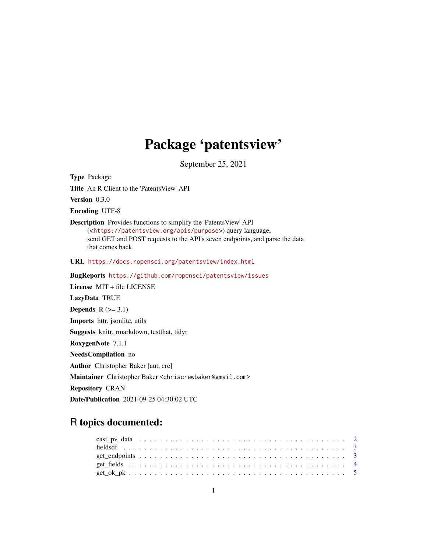# Package 'patentsview'

September 25, 2021

<span id="page-0-0"></span>Type Package

Title An R Client to the 'PatentsView' API

Version 0.3.0

Encoding UTF-8

Description Provides functions to simplify the 'PatentsView' API (<<https://patentsview.org/apis/purpose>>) query language, send GET and POST requests to the API's seven endpoints, and parse the data that comes back.

URL <https://docs.ropensci.org/patentsview/index.html>

BugReports <https://github.com/ropensci/patentsview/issues> License MIT + file LICENSE LazyData TRUE Depends  $R$  ( $>= 3.1$ ) Imports httr, jsonlite, utils Suggests knitr, rmarkdown, testthat, tidyr RoxygenNote 7.1.1 NeedsCompilation no Author Christopher Baker [aut, cre] Maintainer Christopher Baker <chriscrewbaker@gmail.com> Repository CRAN Date/Publication 2021-09-25 04:30:02 UTC

# R topics documented: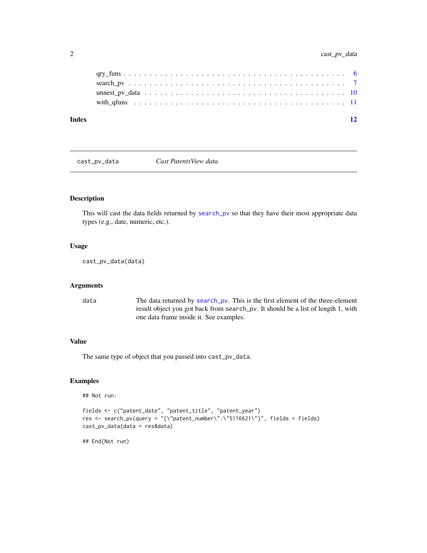<span id="page-1-0"></span>

| Index |  |
|-------|--|
|       |  |
|       |  |
|       |  |
|       |  |

cast\_pv\_data *Cast PatentsView data*

# Description

This will cast the data fields returned by [search\\_pv](#page-6-1) so that they have their most appropriate data types (e.g., date, numeric, etc.).

# Usage

cast\_pv\_data(data)

# Arguments

data The data returned by [search\\_pv](#page-6-1). This is the first element of the three-element result object you got back from search\_pv. It should be a list of length 1, with one data frame inside it. See examples.

# Value

The same type of object that you passed into cast\_pv\_data.

# Examples

## Not run:

```
fields <- c("patent_date", "patent_title", "patent_year")
res <- search_pv(query = "{\"patent_number\":\"5116621\"}", fields = fields)
cast_pv_data(data = res$data)
```
## End(Not run)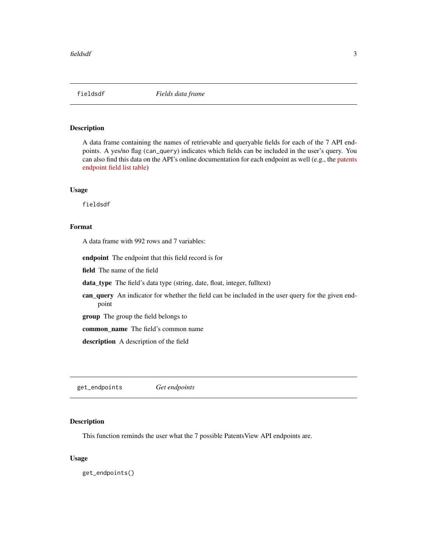<span id="page-2-0"></span>

# Description

A data frame containing the names of retrievable and queryable fields for each of the 7 API endpoints. A yes/no flag (can\_query) indicates which fields can be included in the user's query. You can also find this data on the API's online documentation for each endpoint as well (e.g., the [patents](https://patentsview.org/apis/api-endpoints/patents) [endpoint field list table\)](https://patentsview.org/apis/api-endpoints/patents)

#### Usage

fieldsdf

# Format

A data frame with 992 rows and 7 variables:

endpoint The endpoint that this field record is for

field The name of the field

data\_type The field's data type (string, date, float, integer, fulltext)

can\_query An indicator for whether the field can be included in the user query for the given endpoint

group The group the field belongs to

common\_name The field's common name

description A description of the field

<span id="page-2-1"></span>get\_endpoints *Get endpoints*

#### Description

This function reminds the user what the 7 possible PatentsView API endpoints are.

#### Usage

get\_endpoints()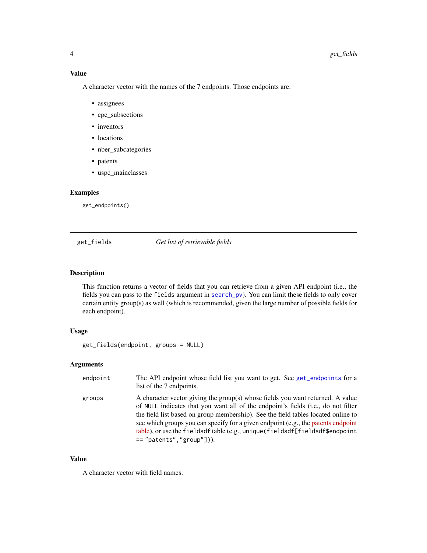# <span id="page-3-0"></span>Value

A character vector with the names of the 7 endpoints. Those endpoints are:

- assignees
- cpc\_subsections
- inventors
- locations
- nber\_subcategories
- patents
- uspc\_mainclasses

# Examples

```
get_endpoints()
```
<span id="page-3-1"></span>get\_fields *Get list of retrievable fields*

# Description

This function returns a vector of fields that you can retrieve from a given API endpoint (i.e., the fields you can pass to the fields argument in [search\\_pv](#page-6-1)). You can limit these fields to only cover certain entity group(s) as well (which is recommended, given the large number of possible fields for each endpoint).

# Usage

```
get_fields(endpoint, groups = NULL)
```
# Arguments

| endpoint | The API endpoint whose field list you want to get. See get_endpoints for a<br>list of the 7 endpoints.                                                                                                                                                                                                                                                                                                                                                                     |
|----------|----------------------------------------------------------------------------------------------------------------------------------------------------------------------------------------------------------------------------------------------------------------------------------------------------------------------------------------------------------------------------------------------------------------------------------------------------------------------------|
| groups   | A character vector giving the group(s) whose fields you want returned. A value<br>of NULL indicates that you want all of the endpoint's fields ( <i>i.e.</i> , do not filter<br>the field list based on group membership). See the field tables located online to<br>see which groups you can specify for a given endpoint (e.g., the patents endpoint<br>table), or use the fields of table (e.g., unique (fields of [fields of \$endpoint<br>$==$ "patents", "group"])). |

#### Value

A character vector with field names.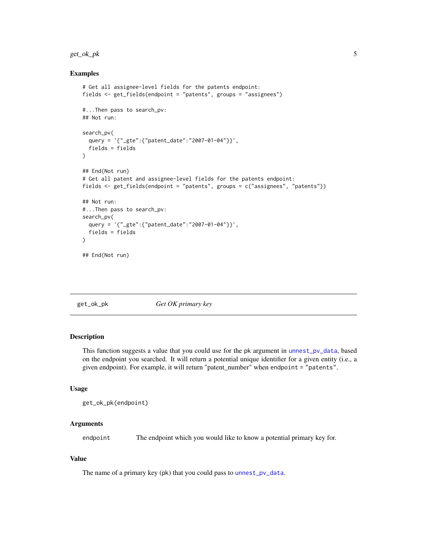# <span id="page-4-0"></span> $get\_ok\_pk$  5

#### Examples

```
# Get all assignee-level fields for the patents endpoint:
fields <- get_fields(endpoint = "patents", groups = "assignees")
#...Then pass to search_pv:
## Not run:
search_pv(
  query = '{"_gte":{"patent_date":"2007-01-04"}}',
  fields = fields
)
## End(Not run)
# Get all patent and assignee-level fields for the patents endpoint:
fields <- get_fields(endpoint = "patents", groups = c("assignees", "patents"))
## Not run:
#...Then pass to search_pv:
search_pv(
  query = '{"_gte":{"patent_date":"2007-01-04"}}',
  fields = fields
\lambda## End(Not run)
```
<span id="page-4-1"></span>get\_ok\_pk *Get OK primary key*

# Description

This function suggests a value that you could use for the pk argument in [unnest\\_pv\\_data](#page-9-1), based on the endpoint you searched. It will return a potential unique identifier for a given entity (i.e., a given endpoint). For example, it will return "patent\_number" when endpoint = "patents".

#### Usage

```
get_ok_pk(endpoint)
```
#### Arguments

endpoint The endpoint which you would like to know a potential primary key for.

#### Value

The name of a primary key (pk) that you could pass to [unnest\\_pv\\_data](#page-9-1).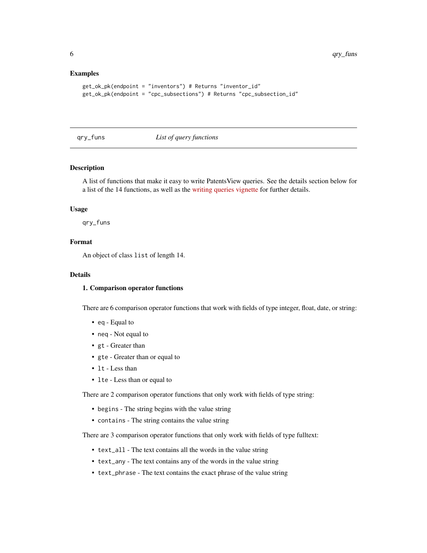# <span id="page-5-0"></span>Examples

```
get_ok_pk(endpoint = "inventors") # Returns "inventor_id"
get_ok_pk(endpoint = "cpc_subsections") # Returns "cpc_subsection_id"
```
<span id="page-5-1"></span>qry\_funs *List of query functions*

# Description

A list of functions that make it easy to write PatentsView queries. See the details section below for a list of the 14 functions, as well as the [writing queries vignette](https://docs.ropensci.org/patentsview/articles/writing-queries.html) for further details.

#### Usage

qry\_funs

# Format

An object of class list of length 14.

#### Details

# 1. Comparison operator functions

There are 6 comparison operator functions that work with fields of type integer, float, date, or string:

- eq Equal to
- neq Not equal to
- gt Greater than
- gte Greater than or equal to
- lt Less than
- lte Less than or equal to

There are 2 comparison operator functions that only work with fields of type string:

- begins The string begins with the value string
- contains The string contains the value string

There are 3 comparison operator functions that only work with fields of type fulltext:

- text\_all The text contains all the words in the value string
- text\_any The text contains any of the words in the value string
- text\_phrase The text contains the exact phrase of the value string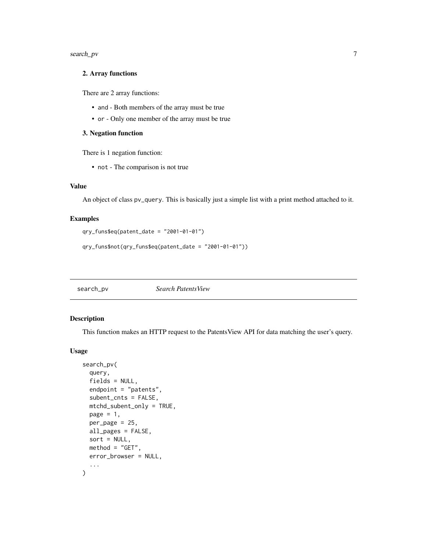<span id="page-6-0"></span>search\_pv 7

# 2. Array functions

There are 2 array functions:

- and Both members of the array must be true
- or Only one member of the array must be true

# 3. Negation function

There is 1 negation function:

• not - The comparison is not true

# Value

An object of class pv\_query. This is basically just a simple list with a print method attached to it.

# Examples

```
qry_funs$eq(patent_date = "2001-01-01")
```

```
qry_funs$not(qry_funs$eq(patent_date = "2001-01-01"))
```
<span id="page-6-1"></span>search\_pv *Search PatentsView*

# Description

This function makes an HTTP request to the PatentsView API for data matching the user's query.

#### Usage

```
search_pv(
 query,
  fields = NULL,
 endpoint = "patents",
  subent_cnts = FALSE,
 mtchd_subent_only = TRUE,
 page = 1,
 per\_page = 25,
 all_pages = FALSE,
 sort = NULL,method = "GET",error_browser = NULL,
  ...
\mathcal{L}
```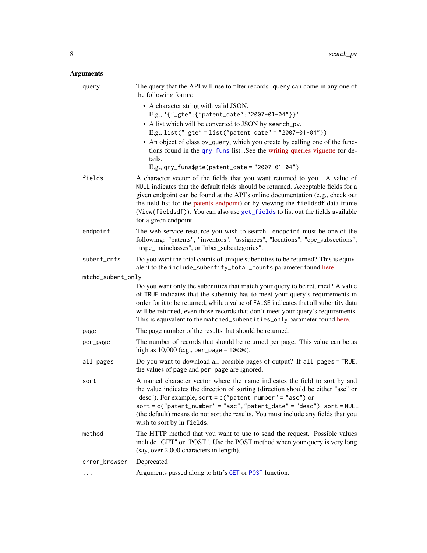# <span id="page-7-0"></span>Arguments

| query             | The query that the API will use to filter records. query can come in any one of<br>the following forms:                                                                                                                                                                                                                                                                                                                                         |
|-------------------|-------------------------------------------------------------------------------------------------------------------------------------------------------------------------------------------------------------------------------------------------------------------------------------------------------------------------------------------------------------------------------------------------------------------------------------------------|
|                   | • A character string with valid JSON.<br>E.g., '{"_gte":{"patent_date":"2007-01-04"}}'<br>• A list which will be converted to JSON by search_pv.<br>E.g., list("_gte" = list("patent_date" = "2007-01-04"))                                                                                                                                                                                                                                     |
|                   | • An object of class pv_query, which you create by calling one of the func-<br>tions found in the qry_funs listSee the writing queries vignette for de-<br>tails.<br>E.g., $qry_funs$gete(patent_data = "2007-01-04")$                                                                                                                                                                                                                          |
| fields            | A character vector of the fields that you want returned to you. A value of<br>NULL indicates that the default fields should be returned. Acceptable fields for a<br>given endpoint can be found at the API's online documentation (e.g., check out<br>the field list for the patents endpoint) or by viewing the fieldsdf data frame<br>(View(fieldsdf)). You can also use get_fields to list out the fields available<br>for a given endpoint. |
| endpoint          | The web service resource you wish to search. endpoint must be one of the<br>following: "patents", "inventors", "assignees", "locations", "cpc_subsections",<br>"uspc_mainclasses", or "nber_subcategories".                                                                                                                                                                                                                                     |
| subent_cnts       | Do you want the total counts of unique subentities to be returned? This is equiv-<br>alent to the include_subentity_total_counts parameter found here.                                                                                                                                                                                                                                                                                          |
| mtchd_subent_only |                                                                                                                                                                                                                                                                                                                                                                                                                                                 |
|                   | Do you want only the subentities that match your query to be returned? A value<br>of TRUE indicates that the subentity has to meet your query's requirements in<br>order for it to be returned, while a value of FALSE indicates that all subentity data<br>will be returned, even those records that don't meet your query's requirements.<br>This is equivalent to the matched_subentities_only parameter found here.                         |
| page              | The page number of the results that should be returned.                                                                                                                                                                                                                                                                                                                                                                                         |
| per_page          | The number of records that should be returned per page. This value can be as<br>high as $10,000$ (e.g., per_page = $10000$ ).                                                                                                                                                                                                                                                                                                                   |
| all_pages         | Do you want to download all possible pages of output? If all_pages = TRUE,<br>the values of page and per_page are ignored.                                                                                                                                                                                                                                                                                                                      |
| sort              | A named character vector where the name indicates the field to sort by and<br>the value indicates the direction of sorting (direction should be either "asc" or<br>"desc"). For example, sort = $c$ ("patent_number" = "asc") or<br>sort = c("patent_number" = "asc","patent_date" = "desc").            sort = NULL<br>(the default) means do not sort the results. You must include any fields that you<br>wish to sort by in fields.         |
| method            | The HTTP method that you want to use to send the request. Possible values<br>include "GET" or "POST". Use the POST method when your query is very long<br>(say, over 2,000 characters in length).                                                                                                                                                                                                                                               |
| error_browser     | Deprecated                                                                                                                                                                                                                                                                                                                                                                                                                                      |
| .                 | Arguments passed along to httr's GET or POST function.                                                                                                                                                                                                                                                                                                                                                                                          |
|                   |                                                                                                                                                                                                                                                                                                                                                                                                                                                 |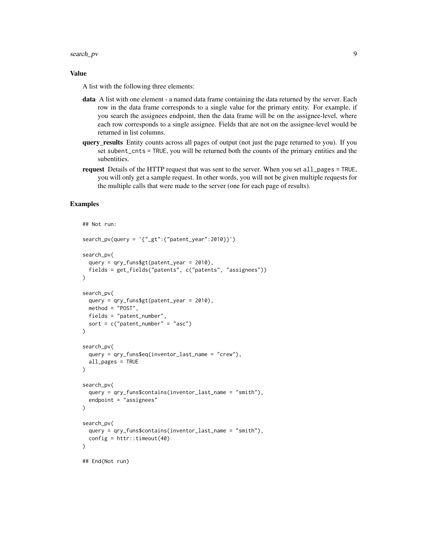search\_pv 9

#### Value

A list with the following three elements:

- data A list with one element a named data frame containing the data returned by the server. Each row in the data frame corresponds to a single value for the primary entity. For example, if you search the assignees endpoint, then the data frame will be on the assignee-level, where each row corresponds to a single assignee. Fields that are not on the assignee-level would be returned in list columns.
- query\_results Entity counts across all pages of output (not just the page returned to you). If you set subent\_cnts = TRUE, you will be returned both the counts of the primary entities and the subentities.
- request Details of the HTTP request that was sent to the server. When you set all\_pages = TRUE, you will only get a sample request. In other words, you will not be given multiple requests for the multiple calls that were made to the server (one for each page of results).

# Examples

```
## Not run:
search_pv(query = '{"_gt":{"patent_year":2010}}')
search_pv(
 query = qry_funs$gt(patent_year = 2010),
 fields = get_fields("patents", c("patents", "assignees"))
)
search_pv(
 query = qry_funs$gt(patent_year = 2010),
 method = "POST",
 fields = "patent_number",
 sort = c("pattern_number" = "asc"))
search_pv(
 query = qry_funs$eq(inventor_last_name = "crew"),
 all_pages = TRUE
)
search_pv(
 query = qry_funs$contains(inventor_last_name = "smith"),
 endpoint = "assignees"
\lambdasearch_pv(
 query = qry_funs$contains(inventor_last_name = "smith"),
 config = \text{http::timeout}(40))
## End(Not run)
```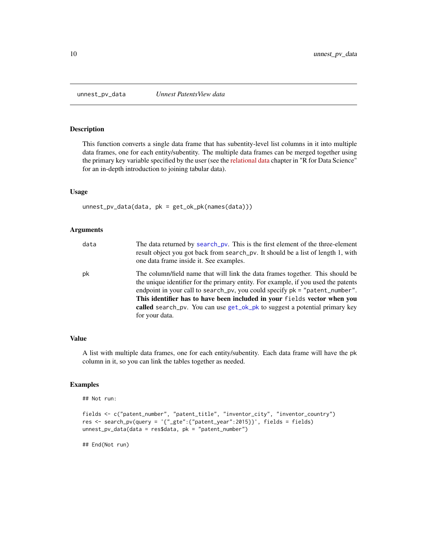<span id="page-9-1"></span><span id="page-9-0"></span>

#### Description

This function converts a single data frame that has subentity-level list columns in it into multiple data frames, one for each entity/subentity. The multiple data frames can be merged together using the primary key variable specified by the user (see the [relational data](https://r4ds.had.co.nz/relational-data.html) chapter in "R for Data Science" for an in-depth introduction to joining tabular data).

# Usage

unnest\_pv\_data(data, pk = get\_ok\_pk(names(data)))

# Arguments

| data | The data returned by search_pv. This is the first element of the three-element<br>result object you got back from search_pv. It should be a list of length 1, with<br>one data frame inside it. See examples.                                                                                                                  |
|------|--------------------------------------------------------------------------------------------------------------------------------------------------------------------------------------------------------------------------------------------------------------------------------------------------------------------------------|
| pk   | The column/field name that will link the data frames together. This should be<br>the unique identifier for the primary entity. For example, if you used the patents<br>endpoint in your call to search_pv, you could specify pk = "patent_number".<br>This identifier has to have been included in your fields vector when you |
|      |                                                                                                                                                                                                                                                                                                                                |
|      | <b>called</b> search_pv. You can use get_ok_pk to suggest a potential primary key                                                                                                                                                                                                                                              |
|      | for your data.                                                                                                                                                                                                                                                                                                                 |

# Value

A list with multiple data frames, one for each entity/subentity. Each data frame will have the pk column in it, so you can link the tables together as needed.

# Examples

```
## Not run:
```

```
fields <- c("patent_number", "patent_title", "inventor_city", "inventor_country")
res <- search_pv(query = '{"_gte":{"patent_year":2015}}', fields = fields)
unnest_pv_data(data = res$data, pk = "patent_number")
```
## End(Not run)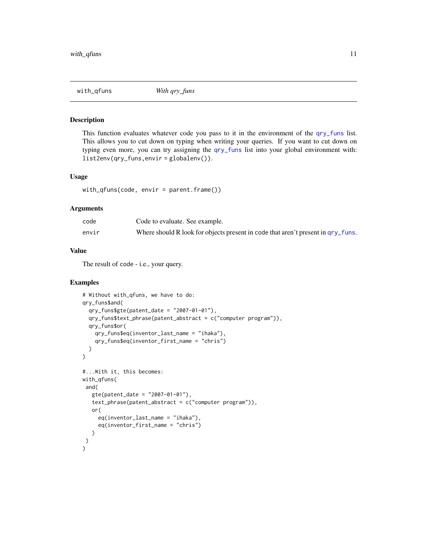<span id="page-10-0"></span>

#### Description

This function evaluates whatever code you pass to it in the environment of the [qry\\_funs](#page-5-1) list. This allows you to cut down on typing when writing your queries. If you want to cut down on typing even more, you can try assigning the [qry\\_funs](#page-5-1) list into your global environment with: list2env(qry\_funs,envir = globalenv()).

# Usage

 $with_qfuns(code, envir = parent.frame())$ 

#### Arguments

| code  | Code to evaluate. See example.                                                   |
|-------|----------------------------------------------------------------------------------|
| envir | Where should R look for objects present in code that aren't present in qry_funs. |

# Value

The result of code - i.e., your query.

#### Examples

```
# Without with_qfuns, we have to do:
qry_funs$and(
  qry_funs$gte(patent_date = "2007-01-01"),
  qry_funs$text_phrase(patent_abstract = c("computer program")),
  qry_funs$or(
    qry_funs$eq(inventor_last_name = "ihaka"),
    qry_funs$eq(inventor_first_name = "chris")
  )
\mathcal{L}#...With it, this becomes:
with_qfuns(
 and(
   gte(patent_date = "2007-01-01"),
   text_phrase(patent_abstract = c("computer program")),
   or(
     eq(inventor_last_name = "ihaka"),
     eq(inventor_first_name = "chris")
   )
)
)
```